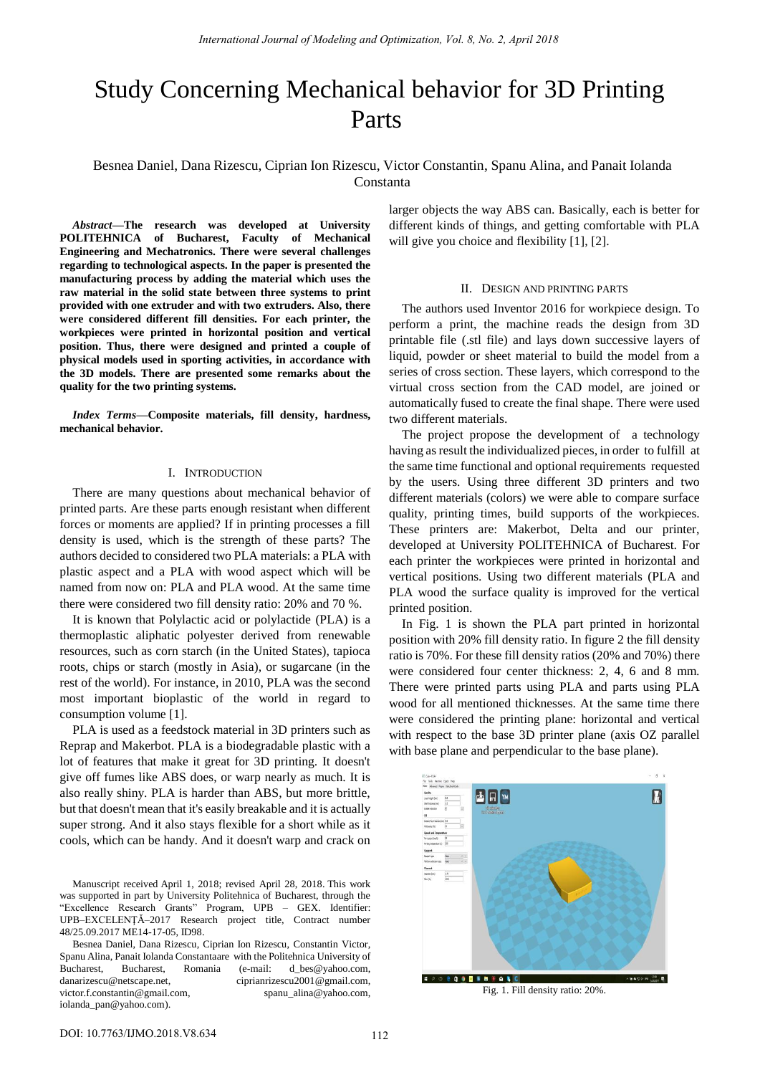# Study Concerning Mechanical behavior for 3D Printing Parts

## Besnea Daniel, Dana Rizescu, Ciprian Ion Rizescu, Victor Constantin, Spanu Alina, and Panait Iolanda Constanta

*Abstract***—The research was developed at University POLITEHNICA of Bucharest, Faculty of Mechanical Engineering and Mechatronics. There were several challenges regarding to technological aspects. In the paper is presented the manufacturing process by adding the material which uses the raw material in the solid state between three systems to print provided with one extruder and with two extruders. Also, there were considered different fill densities. For each printer, the workpieces were printed in horizontal position and vertical position. Thus, there were designed and printed a couple of physical models used in sporting activities, in accordance with the 3D models. There are presented some remarks about the quality for the two printing systems.**

*Index Terms***—Composite materials, fill density, hardness, mechanical behavior.**

## I. INTRODUCTION

There are many questions about mechanical behavior of printed parts. Are these parts enough resistant when different forces or moments are applied? If in printing processes a fill density is used, which is the strength of these parts? The authors decided to considered two PLA materials: a PLA with plastic aspect and a PLA with wood aspect which will be named from now on: PLA and PLA wood. At the same time there were considered two fill density ratio: 20% and 70 %.

It is known that Polylactic acid or polylactide (PLA) is a thermoplastic aliphatic polyester derived from renewable resources, such as corn starch (in the United States), tapioca roots, chips or starch (mostly in Asia), or sugarcane (in the rest of the world). For instance, in 2010, PLA was the second most important bioplastic of the world in regard to consumption volume [1].

PLA is used as a feedstock material in 3D printers such as Reprap and Makerbot. PLA is a biodegradable plastic with a lot of features that make it great for 3D printing. It doesn't give off fumes like ABS does, or warp nearly as much. It is also really shiny. PLA is harder than ABS, but more brittle, but that doesn't mean that it's easily breakable and it is actually super strong. And it also stays flexible for a short while as it cools, which can be handy. And it doesn't warp and crack on

Manuscript received April 1, 2018; revised April 28, 2018. This work was supported in part by University Politehnica of Bucharest, through the "Excellence Research Grants" Program, UPB – GEX. Identifier: UPB–EXCELENŢĂ–2017 Research project title, Contract number 48/25.09.2017 ME14-17-05, ID98.

Besnea Daniel, Dana Rizescu, Ciprian Ion Rizescu, Constantin Victor, Spanu Alina, Panait Iolanda Constantaare with the Politehnica University of Bucharest, Bucharest, Romania (e-mail: [d\\_bes@yahoo.com,](mailto:d_bes@yahoo.com) danarizescu@netscape.net, [ciprianrizescu2001@gmail.com,](mailto:victor.f.constantin@gmail.com) [victor.f.constantin@gmail.com,](mailto:victor.f.constantin@gmail.com) [spanu\\_alina@yahoo.com,](mailto:spanu_alina@yahoo.com) [iolanda\\_pan@yahoo.com\)](mailto:iolanda_pan@yahoo.com).

larger objects the way ABS can. Basically, each is better for different kinds of things, and getting comfortable with PLA will give you choice and flexibility [1], [2].

#### II. DESIGN AND PRINTING PARTS

The authors used Inventor 2016 for workpiece design. To perform a print, the machine reads the design from 3D printable file (.stl file) and lays down successive layers of liquid, powder or sheet material to build the model from a series of cross section. These layers, which correspond to the virtual cross section from the CAD model, are joined or automatically fused to create the final shape. There were used two different materials.

The project propose the development of a technology having as result the individualized pieces, in order to fulfill at the same time functional and optional requirements requested by the users. Using three different 3D printers and two different materials (colors) we were able to compare surface quality, printing times, build supports of the workpieces. These printers are: Makerbot, Delta and our printer, developed at University POLITEHNICA of Bucharest. For each printer the workpieces were printed in horizontal and vertical positions. Using two different materials (PLA and PLA wood the surface quality is improved for the vertical printed position.

In Fig. 1 is shown the PLA part printed in horizontal position with 20% fill density ratio. In figure 2 the fill density ratio is 70%. For these fill density ratios (20% and 70%) there were considered four center thickness: 2, 4, 6 and 8 mm. There were printed parts using PLA and parts using PLA wood for all mentioned thicknesses. At the same time there were considered the printing plane: horizontal and vertical with respect to the base 3D printer plane (axis OZ parallel with base plane and perpendicular to the base plane).



Fig. 1. Fill density ratio: 20%.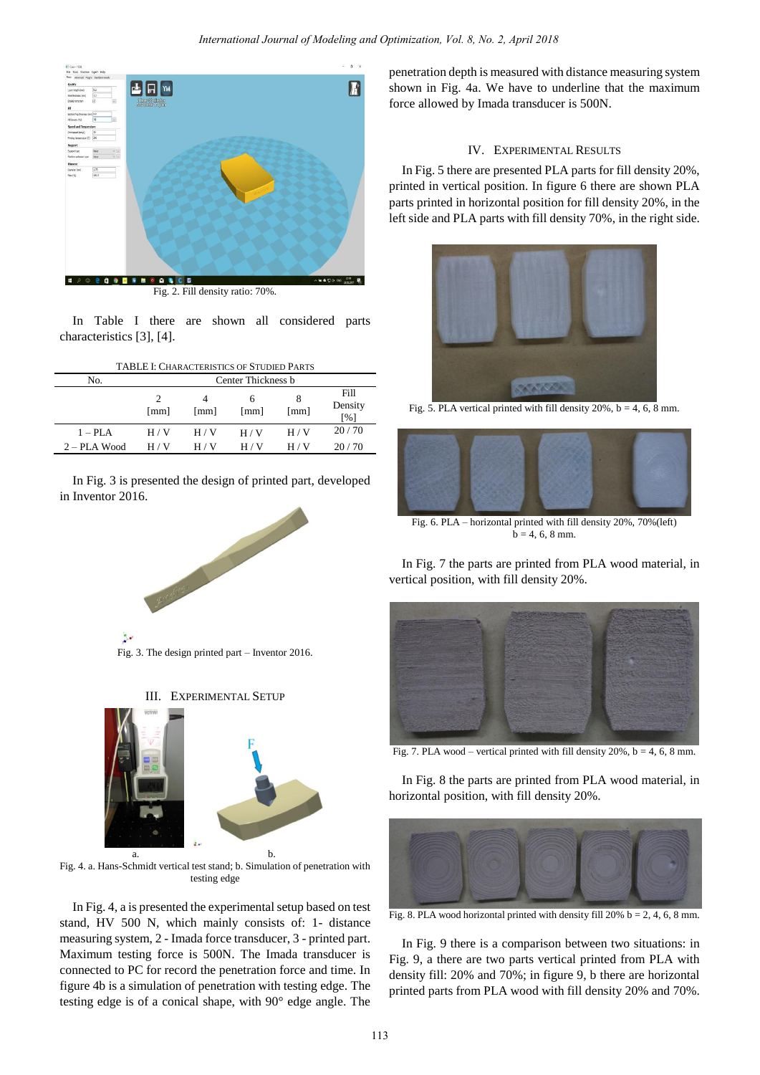

In Table I there are shown all considered parts characteristics [3], [4].

| <b>TABLE I: CHARACTERISTICS OF STUDIED PARTS</b> |                                     |       |           |       |                        |  |  |  |
|--------------------------------------------------|-------------------------------------|-------|-----------|-------|------------------------|--|--|--|
| No.                                              | Center Thickness b                  |       |           |       |                        |  |  |  |
|                                                  | $\mathcal{D}_{\mathcal{A}}$<br>[mm] | [mm]  | h<br>[mm] | [mm]  | Fill<br>Density<br>[%] |  |  |  |
| $1 - PLA$                                        | H / V                               | H / V | H / V     | H/V   | 20/70                  |  |  |  |
| $2 - PLA$ Wood                                   | H / V                               | H / V | H / V     | H / V | 20/70                  |  |  |  |

In Fig. 3 is presented the design of printed part, developed in Inventor 2016.



Fig. 3. The design printed part – Inventor 2016.



Fig. 4. a. Hans-Schmidt vertical test stand; b. Simulation of penetration with testing edge

In Fig. 4, a is presented the experimental setup based on test stand, HV 500 N, which mainly consists of: 1- distance measuring system, 2 - Imada force transducer, 3 - printed part. Maximum testing force is 500N. The Imada transducer is connected to PC for record the penetration force and time. In figure 4b is a simulation of penetration with testing edge. The testing edge is of a conical shape, with 90° edge angle. The

penetration depth is measured with distance measuring system shown in Fig. 4a. We have to underline that the maximum force allowed by Imada transducer is 500N.

## IV. EXPERIMENTAL RESULTS

In Fig. 5 there are presented PLA parts for fill density 20%, printed in vertical position. In figure 6 there are shown PLA parts printed in horizontal position for fill density 20%, in the left side and PLA parts with fill density 70%, in the right side.



Fig. 5. PLA vertical printed with fill density 20%,  $b = 4, 6, 8$  mm.



Fig. 6. PLA – horizontal printed with fill density 20%, 70%(left)  $b = 4, 6, 8$  mm.

In Fig. 7 the parts are printed from PLA wood material, in vertical position, with fill density 20%.



Fig. 7. PLA wood – vertical printed with fill density  $20\%$ ,  $b = 4$ , 6, 8 mm.

In Fig. 8 the parts are printed from PLA wood material, in horizontal position, with fill density 20%.



Fig. 8. PLA wood horizontal printed with density fill 20%  $b = 2, 4, 6, 8$  mm.

In Fig. 9 there is a comparison between two situations: in Fig. 9, a there are two parts vertical printed from PLA with density fill: 20% and 70%; in figure 9, b there are horizontal printed parts from PLA wood with fill density 20% and 70%.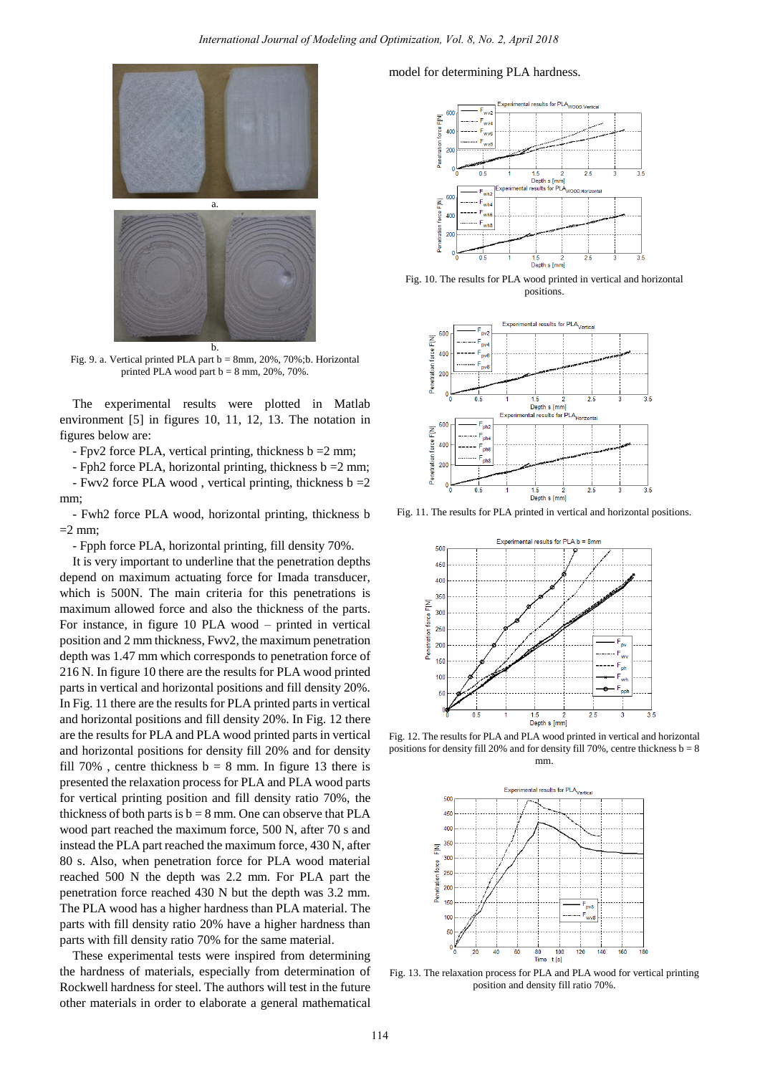

Fig. 9. a. Vertical printed PLA part  $b = 8$ mm, 20%, 70%;b. Horizontal printed PLA wood part  $b = 8$  mm,  $20\%$ ,  $70\%$ .

The experimental results were plotted in Matlab environment [5] in figures 10, 11, 12, 13. The notation in figures below are:

- Fpv2 force PLA, vertical printing, thickness b =2 mm;

- Fph2 force PLA, horizontal printing, thickness  $b = 2$  mm; - Fwv2 force PLA wood , vertical printing, thickness b =2

mm; - Fwh2 force PLA wood, horizontal printing, thickness b  $=$  2 mm;

- Fpph force PLA, horizontal printing, fill density 70%.

It is very important to underline that the penetration depths depend on maximum actuating force for Imada transducer, which is 500N. The main criteria for this penetrations is maximum allowed force and also the thickness of the parts. For instance, in figure 10 PLA wood – printed in vertical position and 2 mm thickness, Fwv2, the maximum penetration depth was 1.47 mm which corresponds to penetration force of 216 N. In figure 10 there are the results for PLA wood printed parts in vertical and horizontal positions and fill density 20%. In Fig. 11 there are the results for PLA printed parts in vertical and horizontal positions and fill density 20%. In Fig. 12 there are the results for PLA and PLA wood printed parts in vertical and horizontal positions for density fill 20% and for density fill 70%, centre thickness  $b = 8$  mm. In figure 13 there is presented the relaxation process for PLA and PLA wood parts for vertical printing position and fill density ratio 70%, the thickness of both parts is  $b = 8$  mm. One can observe that PLA wood part reached the maximum force, 500 N, after 70 s and instead the PLA part reached the maximum force, 430 N, after 80 s. Also, when penetration force for PLA wood material reached 500 N the depth was 2.2 mm. For PLA part the penetration force reached 430 N but the depth was 3.2 mm. The PLA wood has a higher hardness than PLA material. The parts with fill density ratio 20% have a higher hardness than parts with fill density ratio 70% for the same material.

These experimental tests were inspired from determining the hardness of materials, especially from determination of Rockwell hardness for steel. The authors will test in the future other materials in order to elaborate a general mathematical model for determining PLA hardness.



Fig. 10. The results for PLA wood printed in vertical and horizontal positions.



Fig. 11. The results for PLA printed in vertical and horizontal positions.



Fig. 12. The results for PLA and PLA wood printed in vertical and horizontal positions for density fill 20% and for density fill 70%, centre thickness  $b = 8$ mm.



Fig. 13. The relaxation process for PLA and PLA wood for vertical printing position and density fill ratio 70%.